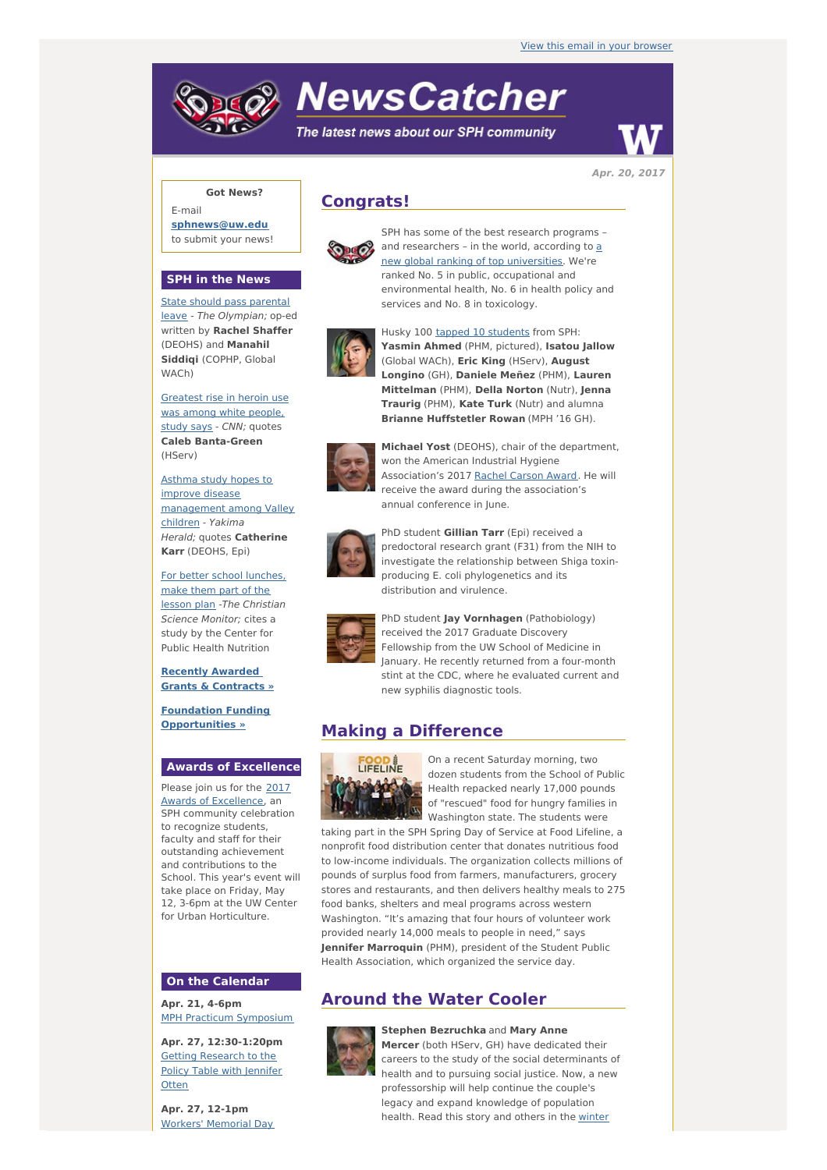# **NewsCatcher**

The latest news about our SPH community



**Apr. 20, 2017**

## **Got News?**

E-mail **[sphnews@uw.edu](mailto:sphnews@uw.edu)** to submit your news!

#### **SPH in the News**

State should pass parental leave - The [Olympian;](http://engage.washington.edu/site/R?i=H4MqYEuSI9LkoTxQYSNJtg) op-ed written by **Rachel Shaffer** (DEOHS) and **Manahil Siddiqi** (COPHP, Global WACh)

[Greatest](http://engage.washington.edu/site/R?i=vhak7YvL7NLx3Qo1UosXdQ) rise in heroin use was among white people, study says - CNN; quotes **Caleb Banta-Green** (HServ)

Asthma study hopes to improve disease [management](http://engage.washington.edu/site/R?i=Dz83-TzcK962rvjFDZna4A) among Valley children - Yakima Herald; quotes **Catherine Karr** (DEOHS, Epi)

For better school lunches, make them part of the lesson plan -The [Christian](http://engage.washington.edu/site/R?i=jT1S_u8ucDvBSm9o73h2Nw) Science Monitor; cites a study by the Center for Public Health Nutrition

**Recently [Awarded](http://engage.washington.edu/site/R?i=Ca8wF2BmCcTn-HKrDiav6Q) Grants & Contracts »**

**Foundation Funding [Opportunities](http://engage.washington.edu/site/R?i=vuStpW1CJUHi0aDSdSRV-g) »**

### **Awards of Excellence**

Please join us for the 2017 Awards of [Excellence,](http://engage.washington.edu/site/R?i=AbMz0rH0SyWMnGkkeZwWPA) an SPH community celebration to recognize students, faculty and staff for their outstanding achievement and contributions to the School. This year's event will take place on Friday, May 12, 3-6pm at the UW Center for Urban Horticulture.

#### **On the Calendar**

**Apr. 21, 4-6pm** MPH Practicum [Symposium](http://engage.washington.edu/site/R?i=9AozAb844nwJnKc0Sz0S9w)

**Apr. 27, 12:30-1:20pm** Getting [Research](http://engage.washington.edu/site/R?i=7lrZ6T3x5mSKFh4dOc6jDA) to the Policy Table with Jennifer **Otten** 

**Apr. 27, 12-1pm** Workers' [Memorial](http://engage.washington.edu/site/R?i=60t2Yzh4L1MPTyRZEPqfWg) Day

# **Congrats!**



SPH has some of the best research programs – and [researchers](http://engage.washington.edu/site/R?i=o4V_jB9aCPC0pigNhXMYOw) – in the world, according to a new global ranking of top universities. We're ranked No. 5 in public, occupational and environmental health, No. 6 in health policy and services and No. 8 in toxicology.



Husky 100 tapped 10 [students](http://engage.washington.edu/site/R?i=bK1oksU_XhGCZos3bnM7Cg) from SPH: **Yasmin Ahmed** (PHM, pictured), **Isatou Jallow** (Global WACh), **Eric King** (HServ), **August Longino** (GH), **Daniele Meñez** (PHM), **Lauren Mittelman** (PHM), **Della Norton** (Nutr), **Jenna Traurig** (PHM), **Kate Turk** (Nutr) and alumna **Brianne Huffstetler Rowan** (MPH '16 GH).



**Michael Yost** (DEOHS), chair of the department, won the American Industrial Hygiene Association's 2017 Rachel [Carson](http://engage.washington.edu/site/R?i=sNinBF4DIO7vrdoE2I3slg) Award. He will receive the award during the association's annual conference in June.



PhD student **Gillian Tarr** (Epi) received a predoctoral research grant (F31) from the NIH to investigate the relationship between Shiga toxinproducing E. coli phylogenetics and its distribution and virulence.



PhD student **Jay Vornhagen** (Pathobiology) received the 2017 Graduate Discovery Fellowship from the UW School of Medicine in January. He recently returned from a four-month stint at the CDC, where he evaluated current and new syphilis diagnostic tools.

## **Making a Difference**



On a recent Saturday morning, two dozen students from the School of Public Health repacked nearly 17,000 pounds of "rescued" food for hungry families in Washington state. The students were

taking part in the SPH Spring Day of Service at Food Lifeline, a nonprofit food distribution center that donates nutritious food to low-income individuals. The organization collects millions of pounds of surplus food from farmers, manufacturers, grocery stores and restaurants, and then delivers healthy meals to 275 food banks, shelters and meal programs across western Washington. "It's amazing that four hours of volunteer work provided nearly 14,000 meals to people in need," says **Jennifer Marroquin** (PHM), president of the Student Public Health Association, which organized the service day.

# **Around the Water Cooler**

#### **Stephen Bezruchka** and **Mary Anne**



**Mercer** (both HServ, GH) have dedicated their careers to the study of the social determinants of health and to pursuing social justice. Now, a new professorship will help continue the couple's

legacy and expand knowledge of population [health.](http://engage.washington.edu/site/R?i=5RklYJGqBJFB_abzgNkC-A) Read this story and others in the winter